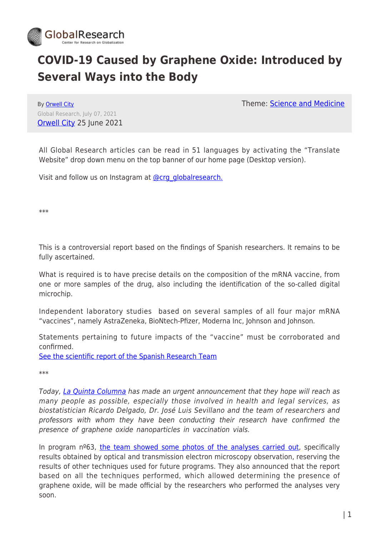

## **COVID-19 Caused by Graphene Oxide: Introduced by Several Ways into the Body**

By [Orwell City](https://www.globalresearch.ca/author/orwell-city) Global Research, July 07, 2021 [Orwell City](https://www.orwell.city/2021/06/covid-19-is-caused-by-graphene-oxide.html) 25 June 2021 Theme: [Science and Medicine](https://www.globalresearch.ca/theme/science-and-medicine)

All Global Research articles can be read in 51 languages by activating the "Translate Website" drop down menu on the top banner of our home page (Desktop version).

Visit and follow us on Instagram at [@crg\\_globalresearch.](https://www.instagram.com/crg_globalresearch/)

\*\*\*

This is a controversial report based on the findings of Spanish researchers. It remains to be fully ascertained.

What is required is to have precise details on the composition of the mRNA vaccine, from one or more samples of the drug, also including the identification of the so-called digital microchip.

Independent laboratory studies based on several samples of all four major mRNA "vaccines", namely AstraZeneka, BioNtech-Pfizer, Moderna Inc, Johnson and Johnson.

Statements pertaining to future impacts of the "vaccine" must be corroborated and confirmed.

[See the scientific report of the Spanish Research Team](https://www.globalresearch.ca/graphene-oxide-detection-aqueous-suspension/5749529)

\*\*\*

Today, [La Quinta Columna](https://www.laquintacolumna.net/) has made an urgent announcement that they hope will reach as many people as possible, especially those involved in health and legal services, as biostatistician Ricardo Delgado, Dr. José Luis Sevillano and the team of researchers and professors with whom they have been conducting their research have confirmed the presence of graphene oxide nanoparticles in vaccination vials.

In program  $n<sup>o</sup>63$ , [the team showed some photos of the analyses carried out,](https://www.orwell.city/2021/06/graphene-oxide-in-vaccination-vials.html) specifically results obtained by optical and transmission electron microscopy observation, reserving the results of other techniques used for future programs. They also announced that the report based on all the techniques performed, which allowed determining the presence of graphene oxide, will be made official by the researchers who performed the analyses very soon.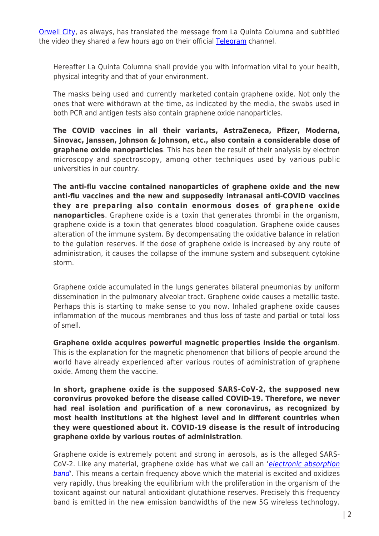[Orwell City](https://www.orwell.city/), as always, has translated the message from La Quinta Columna and subtitled the video they shared a few hours ago on their official [Telegram](https://t.me/laquintacolumna) channel.

Hereafter La Quinta Columna shall provide you with information vital to your health, physical integrity and that of your environment.

The masks being used and currently marketed contain graphene oxide. Not only the ones that were withdrawn at the time, as indicated by the media, the swabs used in both PCR and antigen tests also contain graphene oxide nanoparticles.

**The COVID vaccines in all their variants, AstraZeneca, Pfizer, Moderna, Sinovac, Janssen, Johnson & Johnson, etc., also contain a considerable dose of graphene oxide nanoparticles**. This has been the result of their analysis by electron microscopy and spectroscopy, among other techniques used by various public universities in our country.

**The anti-flu vaccine contained nanoparticles of graphene oxide and the new anti-flu vaccines and the new and supposedly intranasal anti-COVID vaccines they are preparing also contain enormous doses of graphene oxide nanoparticles**. Graphene oxide is a toxin that generates thrombi in the organism, graphene oxide is a toxin that generates blood coagulation. Graphene oxide causes alteration of the immune system. By decompensating the oxidative balance in relation to the gulation reserves. If the dose of graphene oxide is increased by any route of administration, it causes the collapse of the immune system and subsequent cytokine storm.

Graphene oxide accumulated in the lungs generates bilateral pneumonias by uniform dissemination in the pulmonary alveolar tract. Graphene oxide causes a metallic taste. Perhaps this is starting to make sense to you now. Inhaled graphene oxide causes inflammation of the mucous membranes and thus loss of taste and partial or total loss of smell.

**Graphene oxide acquires powerful magnetic properties inside the organism**. This is the explanation for the magnetic phenomenon that billions of people around the world have already experienced after various routes of administration of graphene oxide. Among them the vaccine.

**In short, graphene oxide is the supposed SARS-CoV-2, the supposed new coronvirus provoked before the disease called COVID-19. Therefore, we never had real isolation and purification of a new coronavirus, as recognized by most health institutions at the highest level and in different countries when they were questioned about it. COVID-19 disease is the result of introducing graphene oxide by various routes of administration**.

Graphene oxide is extremely potent and strong in aerosols, as is the alleged SARS-CoV-2. Like any material, graphene oxide has what we call an '[electronic absorption](https://www.orwell.city/2021/06/la-quinta-columna-graphene-5G.html) **[band](https://www.orwell.city/2021/06/la-quinta-columna-graphene-5G.html)'**. This means a certain frequency above which the material is excited and oxidizes very rapidly, thus breaking the equilibrium with the proliferation in the organism of the toxicant against our natural antioxidant glutathione reserves. Precisely this frequency band is emitted in the new emission bandwidths of the new 5G wireless technology.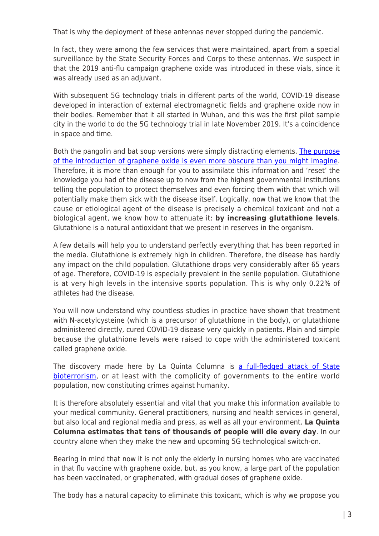That is why the deployment of these antennas never stopped during the pandemic.

In fact, they were among the few services that were maintained, apart from a special surveillance by the State Security Forces and Corps to these antennas. We suspect in that the 2019 anti-flu campaign graphene oxide was introduced in these vials, since it was already used as an adjuvant.

With subsequent 5G technology trials in different parts of the world, COVID-19 disease developed in interaction of external electromagnetic fields and graphene oxide now in their bodies. Remember that it all started in Wuhan, and this was the first pilot sample city in the world to do the 5G technology trial in late November 2019. It's a coincidence in space and time.

Both the pangolin and bat soup versions were simply distracting elements. [The purpose](https://www.orwell.city/2021/06/la-quinta-columna-5G-graphene-oxide-and-neuro-rights.html) [of the introduction of graphene oxide is even more obscure than you might imagine.](https://www.orwell.city/2021/06/la-quinta-columna-5G-graphene-oxide-and-neuro-rights.html) Therefore, it is more than enough for you to assimilate this information and 'reset' the knowledge you had of the disease up to now from the highest governmental institutions telling the population to protect themselves and even forcing them with that which will potentially make them sick with the disease itself. Logically, now that we know that the cause or etiological agent of the disease is precisely a chemical toxicant and not a biological agent, we know how to attenuate it: **by increasing glutathione levels**. Glutathione is a natural antioxidant that we present in reserves in the organism.

A few details will help you to understand perfectly everything that has been reported in the media. Glutathione is extremely high in children. Therefore, the disease has hardly any impact on the child population. Glutathione drops very considerably after 65 years of age. Therefore, COVID-19 is especially prevalent in the senile population. Glutathione is at very high levels in the intensive sports population. This is why only 0.22% of athletes had the disease.

You will now understand why countless studies in practice have shown that treatment with N-acetylcysteine (which is a precursor of glutathione in the body), or glutathione administered directly, cured COVID-19 disease very quickly in patients. Plain and simple because the glutathione levels were raised to cope with the administered toxicant called graphene oxide.

The discovery made here by La Quinta Columna is [a full-fledged attack of State](https://www.orwell.city/2021/06/radio-el-mirador-del-gallo.html) [bioterrorism](https://www.orwell.city/2021/06/radio-el-mirador-del-gallo.html), or at least with the complicity of governments to the entire world population, now constituting crimes against humanity.

It is therefore absolutely essential and vital that you make this information available to your medical community. General practitioners, nursing and health services in general, but also local and regional media and press, as well as all your environment. **La Quinta Columna estimates that tens of thousands of people will die every day**. In our country alone when they make the new and upcoming 5G technological switch-on.

Bearing in mind that now it is not only the elderly in nursing homes who are vaccinated in that flu vaccine with graphene oxide, but, as you know, a large part of the population has been vaccinated, or graphenated, with gradual doses of graphene oxide.

The body has a natural capacity to eliminate this toxicant, which is why we propose you